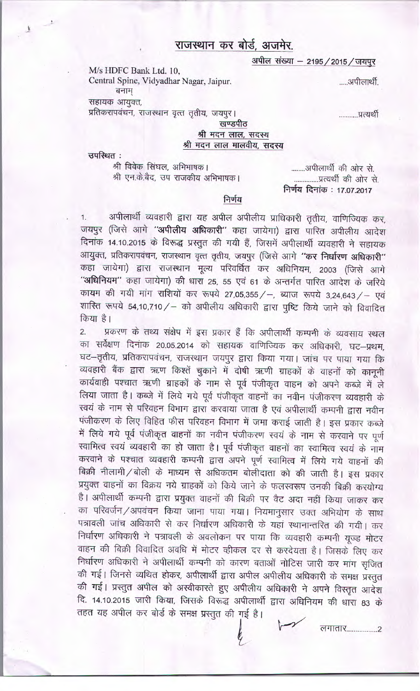## राजस्थान कर बोर्ड, अजमेर.

अपील संख्या - 2195 / 2015 / जयपुर

M/s HDFC Bank Ltd. 10, Central Spine, Vidyadhar Nagar, Jaipur. बनाम सहायक आयुक्त, प्रतिकरापवंचन, राजस्थान वृत्त तृतीय, जयपुर।

..........प्रत्यर्थी

......अपीलार्थी.

खण्डपीठ

## श्री मदन लाल, सदस्य

## श्री मदन लाल मालवीय, सदस्य

उपस्थित:

श्री विवेक सिंघल, अभिभाषक। श्री एन.के.बैद, उप राजकीय अभिभाषक।

........अपीलार्थी की ओर से. ..............प्रत्यर्थी की ओर से. निर्णय दिनांक: 17.07.2017

## निर्णय

अपीलार्थी व्यवहारी द्वारा यह अपील अपीलीय प्राधिकारी तृतीय, वाणिज्यिक कर,  $1.$ जयपुर (जिसे आगे "अपीलीय अधिकारी" कहा जायेगा) द्वारा पारित अपीलीय आदेश दिनांक 14.10.2015 के विरूद्ध प्रस्तुत की गयी हैं, जिसमें अपीलार्थी व्यवहारी ने सहायक आयुक्त, प्रतिकरापवंचन, राजस्थान वृत्त तृतीय, जयपुर (जिसे आगे "कर निर्धारण अधिकारी" कहा जायेगा) द्वारा राजस्थान मूल्य परिवर्धित कर अधिनियम, 2003 (जिसे आगे "अधिनियम" कहा जायेगा) की धारा 25, 55 एवं 61 के अन्तर्गत पारित आदेश के जरिये कायम की गयी मांग राशियों कर रूपये 27,05,355 / -, ब्याज रूपये 3,24,643 / - एवं शास्ति रूपये 54,10,710 / - को अपीलीय अधिकारी द्वारा पुष्टि किये जाने को विवादित किया है।

प्रकरण के तथ्य संक्षेप में इस प्रकार हैं कि अपीलार्थी कम्पनी के व्यवसाय स्थल  $\overline{2}$ . का सर्वेक्षण दिनांक 20.05.2014 को सहायक वाणिज्यिक कर अधिकारी, घट–प्रथम, घट-तृतीय, प्रतिकरापवंचन, राजस्थान जयपुर द्वारा किया गया। जांच पर पाया गया कि व्यवहारी बैंक द्वारा ऋण किश्तें चुकाने में दोषी ऋणी ग्राहकों के वाहनों को कानूनी कार्यवाही पश्चात ऋणी ग्राहकों के नाम से पूर्व पंजीकृत वाहन को अपने कब्जे में ले लिया जाता है। कब्जे में लिये गये पूर्व पंजीकृत वाहनों का नवीन पंजीकरण व्यवहारी के स्वयं के नाम से परिवहन विभाग द्वारा करवाया जाता है एवं अपीलार्थी कम्पनी द्वारा नवीन पंजीकरण के लिए विहित फीस परिवहन विभाग में जमा कराई जाती है। इस प्रकार कब्जे में लिये गये पूर्व पंजीकृत वाहनों का नवीन पंजीकरण स्वयं के नाम से करवाने पर पूर्ण स्वामित्व स्वयं व्यवहारी का हो जाता है। पूर्व पंजीकृत वाहनों का स्वामित्व स्वयं के नाम करवाने के पश्चात व्यवहारी कम्पनी द्वारा अपने पूर्ण स्वामित्व में लिये गये वाहनों की बिक्री नीलामी / बोली के माध्यम से अधिकतम बोलीदाता को की जाती है। इस प्रकार प्रयुक्त वाहनों का विक्रय नये ग्राहकों को किये जाने के फलस्वरूप उनकी बिक्री करयोग्य है। अपीलार्थी कम्पनी द्वारा प्रयुक्त वाहनों की बिक्री पर वैट अदा नहीं किया जाकर कर का परिवर्जन/अपवंचन किया जाना पाया गया। नियमानुसार उक्त अभियोग के साथ पत्रावली जांच अधिकारी से कर निर्धारण अधिकारी के यहां स्थानान्तरित की गयी। कर निर्धारण अधिकारी ने पत्रावली के अवलोकन पर पाया कि व्यवहारी कम्पनी यूज्ड मोटर वाहन की बिक्री विवादित अवधि में मोटर व्हीकल दर से करदेयता है। जिसके लिए कर निर्धारण अधिकारी ने अपीलार्थी कम्पनी को कारण बताओं नोटिस जारी कर मांग सृजित की गई। जिनसे व्यथित होकर, अपीलार्थी द्वारा अपील अपीलीय अधिकारी के समक्ष प्रस्तुत की गई। प्रस्तुत अपील को अस्वीकारते हुए अपीलीय अधिकारी ने अपने विस्तृत आदेश दि. 14.10.2015 जारी किया, जिसके विरूद्ध अपीलार्थी द्वारा अधिनियम की धारा 83 के तहत यह अपील कर बोर्ड के समक्ष प्रस्तुत की गई है।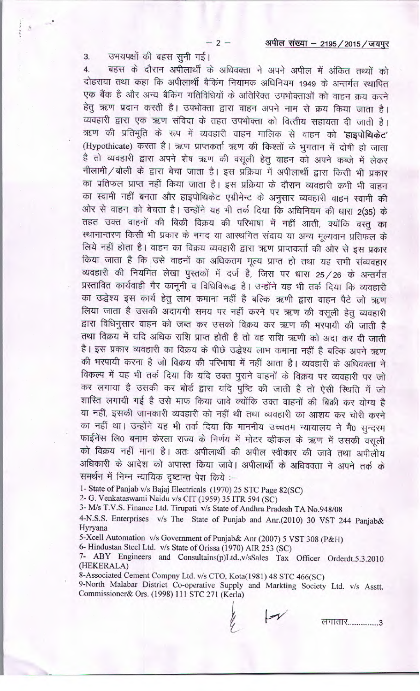उभयपक्षों की बहस सूनी गई।  $3.$ 

 $\begin{matrix} \mathcal{S} & & \\ & & \mathcal{S} \end{matrix}$ 

बहस के दौरान अपीलार्थी के अधिवक्ता ने अपने अपील में अंकित तथ्यों को  $4.$ दोहराया तथा कहा कि अपीलार्थी बैकिंग नियामक अधिनियम 1949 के अन्तर्गत स्थापित एक बैंक है और अन्य बैकिंग गतिविधियों के अतिरिक्त उपभोक्ताओं को वाहन क्रय करने हेतु ऋण प्रदान करती है। उपभोक्ता द्वारा वाहन अपने नाम से क्रय किया जाता है। व्यवहारी द्वारा एक ऋण संविदा के तहत उपभोक्ता को वित्तीय सहायता दी जाती है। ऋण की प्रतिभूति के रूप में व्यवहारी वाहन मालिक से वाहन को 'हाइपोथिकेट' (Hypothicate) करता है। ऋण प्राप्तकर्ता ऋण की किश्तों के भुगतान में दोषी हो जाता है तो व्यवहारी द्वारा अपने शेष ऋण की वसूली हेतु वाहन को अपने कब्जे में लेकर नीलामी / बोली के द्वारा बेचा जाता है। इस प्रक्रिया में अपीलार्थी द्वारा किसी भी प्रकार का प्रतिफल प्राप्त नहीं किया जाता है। इस प्रक्रिया के दौरान व्यवहारी कभी भी वाहन का स्वामी नहीं बनता और हाइपोथिकेट एग्रीमेन्ट के अनुसार व्यवहारी वाहन स्वामी की ओर से वाहन को बेचता है। उन्होंने यह भी तर्क दिया कि अधिनियम की धारा 2(35) के तहत उक्त वाहनों की बिक्री विक्रय की परिभाषा में नहीं आती, क्योंकि वस्तू का स्थानान्तरण किसी भी प्रकार के नगद या आस्थगित संदाय या अन्य मूल्यवान प्रतिफल के लिये नहीं होता है। वाहन का विक्रय व्यवहारी द्वारा ऋण प्राप्तकर्ता की ओर से इस प्रकार किया जाता है कि उसे वाहनों का अधिकतम मूल्य प्राप्त हो तथा यह सभी संव्यवहार व्यवहारी की नियमित लेखा पुस्तकों में दर्ज है, जिस पर धारा 25/26 के अन्तर्गत प्रस्तावित कार्यवाही गैर कानूनी व विधिविरूद्ध है। उन्होंने यह भी तर्क दिया कि व्यवहारी का उद्धेश्य इस कार्य हेतु लाभ कमाना नहीं है बल्कि ऋणी द्वारा वाहन पैटे जो ऋण लिया जाता है उसकी अदायगी समय पर नहीं करने पर ऋण की वसूली हेतु व्यवहारी द्वारा विधिनुसार वाहन को जब्त कर उसको विक्रय कर ऋण की भरपायी की जाती है तथा विक्रय में यदि अधिक राशि प्राप्त होती है तो वह राशि ऋणी को अदा कर दी जाती है। इस प्रकार व्यवहारी का विक्रय के पीछे उद्धेश्य लाभ कमाना नहीं है बल्कि अपने ऋण की भरपायी करना है जो विक्रय की परिभाषा में नहीं आता है। व्यवहारी के अधिवक्ता ने विकल्प में यह भी तर्क दिया कि यदि उक्त पुराने वाहनों के विक्रय पर व्यवहारी पर जो कर लगाया है उसकी कर बोर्ड द्वारा यदि पुष्टि की जाती है तो ऐसी स्थिति में जो शास्ति लगायी गई है उसे माफ किया जावे क्योंकि उक्त वाहनों की बिक्री कर योग्य है या नहीं, इसकी जानकारी व्यवहारी को नहीं थी तथा व्यवहारी का आशय कर चोरी करने का नहीं था। उन्होंने यह भी तर्क दिया कि माननीय उच्चतम न्यायालय ने मै0 सुन्दरम फाईनेंस लि0 बनाम केरला राज्य के निर्णय में मोटर व्हीकल के ऋण में उसकी वसूली को विक्रय नहीं माना है। अतः अपीलार्थी की अपील स्वीकार की जावे तथा अपीलीय अधिकारी के आदेश को अपास्त किया जावे। अपीलार्थी के अधिवक्ता ने अपने तर्क के समर्थन में निम्न न्यायिक दृष्टान्त पेश किये :--

 $-2-$ 

1- State of Panjab v/s Bajaj Electricals (1970) 25 STC Page 82(SC)

2- G. Venkataswami Naidu v/s CIT (1959) 35 ITR 594 (SC)

3- M/s T.V.S. Finance Ltd. Tirupati v/s State of Andhra Pradesh TA No.948/08

4-N.S.S. Enterprises v/s The State of Punjab and Anr.(2010) 30 VST 244 Panjab& Hvrvana

5-Xcell Automation v/s Government of Punjab& Anr (2007) 5 VST 308 (P&H)

6- Hindustan Steel Ltd. v/s State of Orissa (1970) AIR 253 (SC)

7- ABY Engineers and Consultains(p)Ltd.,v/sSales Tax Officer Orderdt.5.3.2010 (HEKERALA)

8-Associated Cement Compny Ltd. v/s CTO, Kota(1981) 48 STC 466(SC)

9-North Malabar District Co-operative Supply and Markting Society Ltd. v/s Asstt. Commissioner& Ors. (1998) 111 STC 271 (Kerla)

लगातार...................3